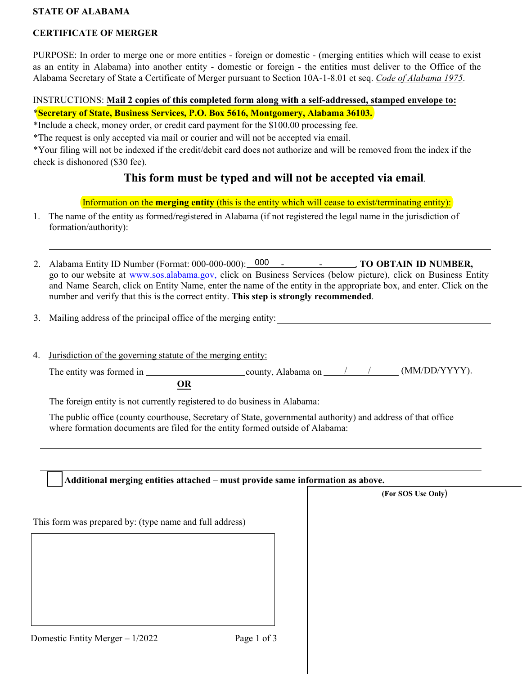## **STATE OF ALABAMA**

## **CERTIFICATE OF MERGER**

PURPOSE: In order to merge one or more entities - foreign or domestic - (merging entities which will cease to exist as an entity in Alabama) into another entity - domestic or foreign - the entities must deliver to the Office of the Alabama Secretary of State a Certificate of Merger pursuant to Section 10A-1-8.01 et seq. *Code of Alabama 1975*.

## INSTRUCTIONS: **Mail 2 copies of this completed form along with a self-addressed, stamped envelope to:** \***Secretary of State, Business Services, P.O. Box 5616, Montgomery, Alabama 36103.**

\*Include a check, money order, or credit card payment for the \$100.00 processing fee.

\*The request is only accepted via mail or courier and will not be accepted via email.

\*Your filing will not be indexed if the credit/debit card does not authorize and will be removed from the index if the check is dishonored (\$30 fee).

# **This form must be typed and will not be accepted via email**.

Information on the **merging entity** (this is the entity which will cease to exist/terminating entity):

- 1. The name of the entity as formed/registered in Alabama (if not registered the legal name in the jurisdiction of formation/authority):
- 2. Alabama Entity ID Number (Format: 000-000-000): 000 TO OBTAIN ID NUMBER, go to our website at [www.sos.alabama.gov](http://www.sos.alabama.gov/), click on Business Services (below picture), click on Business Entity and Name Search, click on Entity Name, enter the name of the entity in the appropriate box, and enter. Click on the number and verify that this is the correct entity. **This step is strongly recommended**.
- 3. Mailing address of the principal office of the merging entity:
- 4. Jurisdiction of the governing statute of the merging entity:

The entity was formed in  $\frac{\text{county}}{\text{county}}$ , Alabama on  $\frac{\text{county}}{\text{county}}$  (MM/DD/YYYY). **OR**

The foreign entity is not currently registered to do business in Alabama:

The public office (county courthouse, Secretary of State, governmental authority) and address of that office where formation documents are filed for the entity formed outside of Alabama:

|                                                         |             | (For SOS Use Only) |
|---------------------------------------------------------|-------------|--------------------|
| This form was prepared by: (type name and full address) |             |                    |
|                                                         |             |                    |
|                                                         |             |                    |
|                                                         |             |                    |
|                                                         |             |                    |
| Domestic Entity Merger - 1/2022                         | Page 1 of 3 |                    |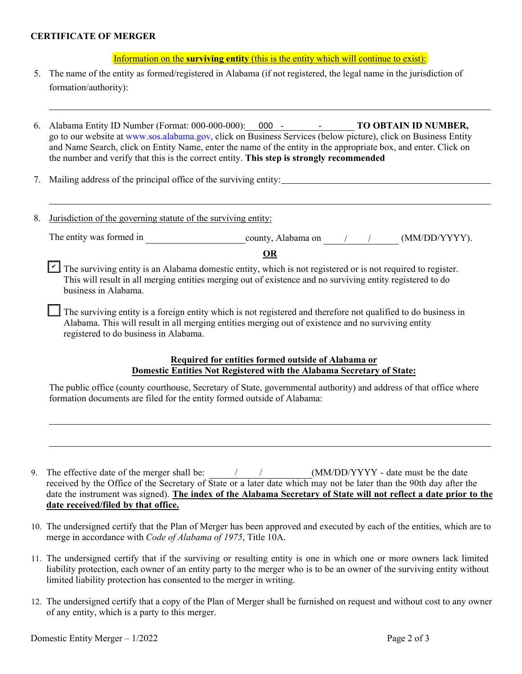### **CERTIFICATE OF MERGER**

Information on the **surviving entity** (this is the entity which will continue to exist):

- 5. The name of the entity as formed/registered in Alabama (if not registered, the legal name in the jurisdiction of formation/authority):
- 6. Alabama Entity ID Number (Format: 000-000-000): - **TO OBTAIN ID NUMBER,** 000 go to our website at [www.sos.alabama.gov](http://www.sos.alabama.gov/), click on Business Services (below picture), click on Business Entity and Name Search, click on Entity Name, enter the name of the entity in the appropriate box, and enter. Click on the number and verify that this is the correct entity. **This step is strongly recommended**
- 7. Mailing address of the principal office of the surviving entity:
- 8. Jurisdiction of the governing statute of the surviving entity:

The entity was formed in county, Alabama on / / (MM/DD/YYYY).

**OR**

The surviving entity is an Alabama domestic entity, which is not registered or is not required to register. This will result in all merging entities merging out of existence and no surviving entity registered to do business in Alabama.

The surviving entity is a foreign entity which is not registered and therefore not qualified to do business in Alabama. This will result in all merging entities merging out of existence and no surviving entity registered to do business in Alabama.

### **Required for entities formed outside of Alabama or Domestic Entities Not Registered with the Alabama Secretary of State:**

The public office (county courthouse, Secretary of State, governmental authority) and address of that office where formation documents are filed for the entity formed outside of Alabama:

- 9. The effective date of the merger shall be:  $\frac{1}{\sqrt{1-\frac{1}{2}}}\frac{1}{\sqrt{1-\frac{1}{2}}}\frac{1}{\sqrt{1-\frac{1}{2}}}\frac{1}{\sqrt{1-\frac{1}{2}}}\frac{1}{\sqrt{1-\frac{1}{2}}}\frac{1}{\sqrt{1-\frac{1}{2}}}\frac{1}{\sqrt{1-\frac{1}{2}}}\frac{1}{\sqrt{1-\frac{1}{2}}}\frac{1}{\sqrt{1-\frac{1}{2}}}\frac{1}{\sqrt{1-\frac{1}{2}}}\frac{1}{\sqrt{1-\frac{1}{$ received by the Office of the Secretary of State or a later date which may not be later than the 90th day after the date the instrument was signed). The index of the Alabama Secretary of State will not reflect a date prior to the **date received/filed by that office.**
- 10. The undersigned certify that the Plan of Merger has been approved and executed by each of the entities, which are to merge in accordance with *Code of Alabama of 1975*, Title 10A.
- 11. The undersigned certify that if the surviving or resulting entity is one in which one or more owners lack limited liability protection, each owner of an entity party to the merger who is to be an owner of the surviving entity without limited liability protection has consented to the merger in writing.
- 12. The undersigned certify that a copy of the Plan of Merger shall be furnished on request and without cost to any owner of any entity, which is a party to this merger.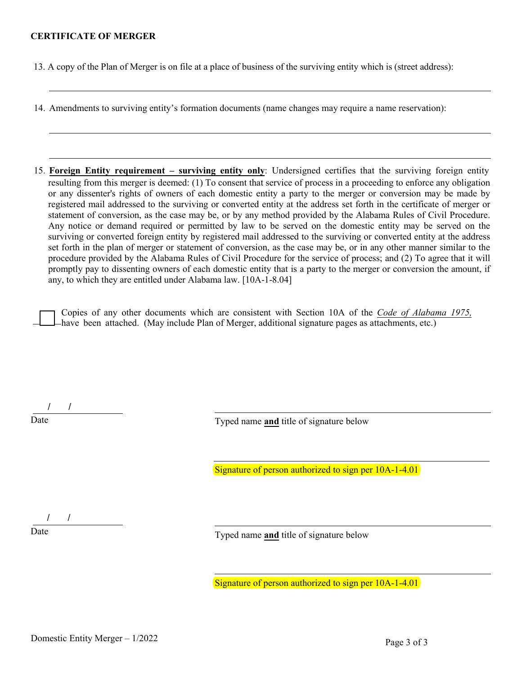#### **CERTIFICATE OF MERGER**

13. A copy of the Plan of Merger is on file at a place of business of the surviving entity which is (street address):

14. Amendments to surviving entity's formation documents (name changes may require a name reservation):

15. **Foreign Entity requirement – surviving entity only**: Undersigned certifies that the surviving foreign entity resulting from this merger is deemed: (1) To consent that service of process in a proceeding to enforce any obligation or any dissenter's rights of owners of each domestic entity a party to the merger or conversion may be made by registered mail addressed to the surviving or converted entity at the address set forth in the certificate of merger or statement of conversion, as the case may be, or by any method provided by the Alabama Rules of Civil Procedure. Any notice or demand required or permitted by law to be served on the domestic entity may be served on the surviving or converted foreign entity by registered mail addressed to the surviving or converted entity at the address set forth in the plan of merger or statement of conversion, as the case may be, or in any other manner similar to the procedure provided by the Alabama Rules of Civil Procedure for the service of process; and (2) To agree that it will promptly pay to dissenting owners of each domestic entity that is a party to the merger or conversion the amount, if any, to which they are entitled under Alabama law. [10A-1-8.04]

Copies of any other documents which are consistent with Section 10A of the *Code of Alabama 1975,* have been attached. (May include Plan of Merger, additional signature pages as attachments, etc.)

/ /

Typed name **and** title of signature below

Signature of person authorized to sign per 10A-1-4.01

/ /

Typed name **and** title of signature below

Signature of person authorized to sign per 10A-1-4.01